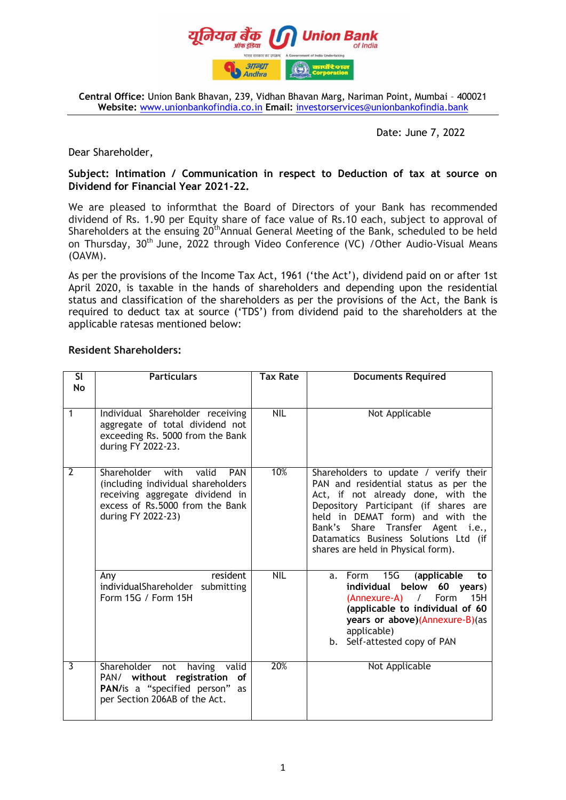

**Central Office:** Union Bank Bhavan, 239, Vidhan Bhavan Marg, Nariman Point, Mumbai – 400021 **Website:** [www.unionbankofindia.co.in](http://www.unionbankofindia.co.in/) **Email:** [investorservices@unionbankofindia.b](mailto:investorservices@unionbankofindia.)ank

### Date: June 7, 2022

Dear Shareholder,

## **Subject: Intimation / Communication in respect to Deduction of tax at source on Dividend for Financial Year 2021-22.**

We are pleased to informthat the Board of Directors of your Bank has recommended dividend of Rs. 1.90 per Equity share of face value of Rs.10 each, subject to approval of Shareholders at the ensuing 20<sup>th</sup>Annual General Meeting of the Bank, scheduled to be held on Thursday, 30<sup>th</sup> June, 2022 through Video Conference (VC) / Other Audio-Visual Means (OAVM).

As per the provisions of the Income Tax Act, 1961 ('the Act'), dividend paid on or after 1st April 2020, is taxable in the hands of shareholders and depending upon the residential status and classification of the shareholders as per the provisions of the Act, the Bank is required to deduct tax at source ("TDS") from dividend paid to the shareholders at the applicable ratesas mentioned below:

## **Resident Shareholders:**

| <b>SI</b><br><b>No</b> | <b>Particulars</b>                                                                                                                                                        | <b>Tax Rate</b> | <b>Documents Required</b>                                                                                                                                                                                                                                                                                             |
|------------------------|---------------------------------------------------------------------------------------------------------------------------------------------------------------------------|-----------------|-----------------------------------------------------------------------------------------------------------------------------------------------------------------------------------------------------------------------------------------------------------------------------------------------------------------------|
| 1                      | Individual Shareholder receiving<br>aggregate of total dividend not<br>exceeding Rs. 5000 from the Bank<br>during FY 2022-23.                                             | <b>NIL</b>      | Not Applicable                                                                                                                                                                                                                                                                                                        |
| $\overline{2}$         | Shareholder with<br>valid<br><b>PAN</b><br>(including individual shareholders<br>receiving aggregate dividend in<br>excess of Rs.5000 from the Bank<br>during FY 2022-23) | 10%             | Shareholders to update / verify their<br>PAN and residential status as per the<br>Act, if not already done, with the<br>Depository Participant (if shares are<br>held in DEMAT form) and with the<br>Bank's Share Transfer Agent i.e.,<br>Datamatics Business Solutions Ltd (if<br>shares are held in Physical form). |
|                        | resident<br>Any<br>individualShareholder<br>submitting<br>Form 15G / Form 15H                                                                                             | <b>NIL</b>      | a. Form 15G<br>(applicable<br>to<br>individual<br>below<br>60 years)<br>15H<br>(Annexure-A)<br>Form<br>$\sqrt{2}$<br>(applicable to individual of 60<br>years or above)(Annexure-B)(as<br>applicable)<br>b. Self-attested copy of PAN                                                                                 |
| 3                      | Shareholder not<br>having valid<br>PAN/ without registration<br>оf<br>PAN/is a "specified person" as<br>per Section 206AB of the Act.                                     | 20%             | Not Applicable                                                                                                                                                                                                                                                                                                        |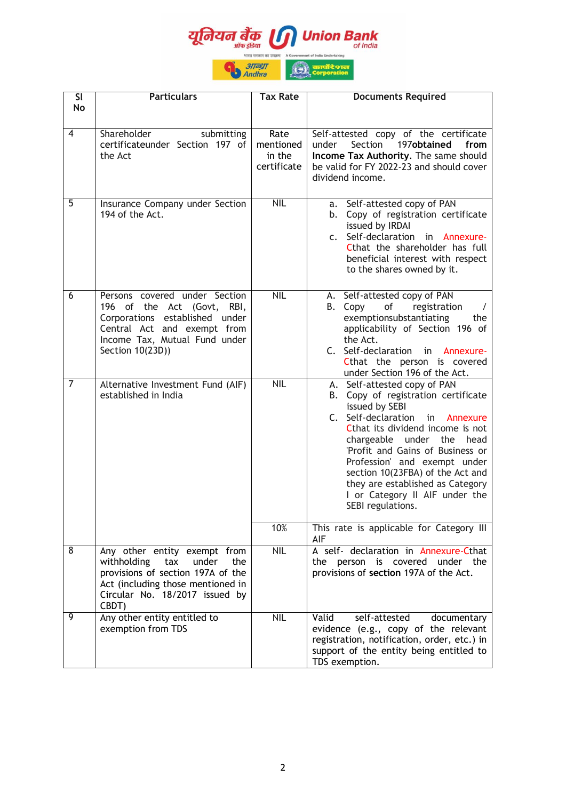

| SI<br>No       | <b>Particulars</b>                                                                                                                                                                      | <b>Tax Rate</b>                            | <b>Documents Required</b>                                                                                                                                                                                                                                                                                                                                                                          |
|----------------|-----------------------------------------------------------------------------------------------------------------------------------------------------------------------------------------|--------------------------------------------|----------------------------------------------------------------------------------------------------------------------------------------------------------------------------------------------------------------------------------------------------------------------------------------------------------------------------------------------------------------------------------------------------|
| 4              | Shareholder<br>submitting<br>certificateunder Section 197 of<br>the Act                                                                                                                 | Rate<br>mentioned<br>in the<br>certificate | Self-attested copy of the certificate<br>Section<br>197obtained<br>under<br>from<br>Income Tax Authority. The same should<br>be valid for FY 2022-23 and should cover<br>dividend income.                                                                                                                                                                                                          |
| 5              | Insurance Company under Section<br>194 of the Act.                                                                                                                                      | <b>NIL</b>                                 | a. Self-attested copy of PAN<br>Copy of registration certificate<br>b.<br>issued by IRDAI<br>c. Self-declaration<br>in Annexure-<br>Cthat the shareholder has full<br>beneficial interest with respect<br>to the shares owned by it.                                                                                                                                                               |
| 6              | Persons covered under Section<br>196 of the Act (Govt,<br>RBI,<br>Corporations established under<br>Central Act and exempt from<br>Income Tax, Mutual Fund under<br>Section 10(23D))    | <b>NIL</b>                                 | A. Self-attested copy of PAN<br>of<br>B. Copy<br>registration<br>exemptionsubstantiating<br>the<br>applicability of Section 196 of<br>the Act.<br>C. Self-declaration<br>in<br>Annexure-<br>Cthat the person is covered<br>under Section 196 of the Act.                                                                                                                                           |
| $\overline{7}$ | Alternative Investment Fund (AIF)<br>established in India                                                                                                                               | <b>NIL</b>                                 | A. Self-attested copy of PAN<br>B. Copy of registration certificate<br>issued by SEBI<br>C. Self-declaration<br>in<br>Annexure<br>Cthat its dividend income is not<br>chargeable under the head<br>'Profit and Gains of Business or<br>Profession' and exempt under<br>section 10(23FBA) of the Act and<br>they are established as Category<br>I or Category II AIF under the<br>SEBI regulations. |
|                |                                                                                                                                                                                         | 10%                                        | This rate is applicable for Category III<br>AIF                                                                                                                                                                                                                                                                                                                                                    |
| 8              | Any other entity exempt from<br>withholding<br>under<br>tax<br>the<br>provisions of section 197A of the<br>Act (including those mentioned in<br>Circular No. 18/2017 issued by<br>CBDT) | <b>NIL</b>                                 | A self- declaration in Annexure-Cthat<br>the person is covered under the<br>provisions of section 197A of the Act.                                                                                                                                                                                                                                                                                 |
| 9              | Any other entity entitled to<br>exemption from TDS                                                                                                                                      | <b>NIL</b>                                 | Valid<br>self-attested<br>documentary<br>evidence (e.g., copy of the relevant<br>registration, notification, order, etc.) in<br>support of the entity being entitled to<br>TDS exemption.                                                                                                                                                                                                          |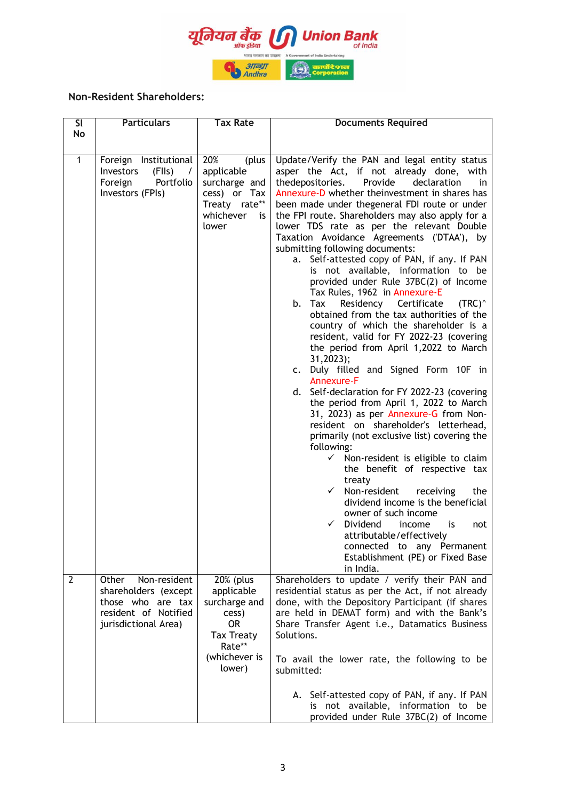

# **Non-Resident Shareholders:**

| <b>SI</b> | <b>Particulars</b>                                                                                                 | <b>Tax Rate</b>                                                                                                          | <b>Documents Required</b>                                                                                                                                                                                                                                                                                                                                                                                                                                                                                                                                                                                                                                                                                                                                                                                                                                                                                                                                                                                                                                                                                                                                                                                                                                                                                                                                                                                                                                                                                                        |
|-----------|--------------------------------------------------------------------------------------------------------------------|--------------------------------------------------------------------------------------------------------------------------|----------------------------------------------------------------------------------------------------------------------------------------------------------------------------------------------------------------------------------------------------------------------------------------------------------------------------------------------------------------------------------------------------------------------------------------------------------------------------------------------------------------------------------------------------------------------------------------------------------------------------------------------------------------------------------------------------------------------------------------------------------------------------------------------------------------------------------------------------------------------------------------------------------------------------------------------------------------------------------------------------------------------------------------------------------------------------------------------------------------------------------------------------------------------------------------------------------------------------------------------------------------------------------------------------------------------------------------------------------------------------------------------------------------------------------------------------------------------------------------------------------------------------------|
| No        |                                                                                                                    |                                                                                                                          |                                                                                                                                                                                                                                                                                                                                                                                                                                                                                                                                                                                                                                                                                                                                                                                                                                                                                                                                                                                                                                                                                                                                                                                                                                                                                                                                                                                                                                                                                                                                  |
| 1         | Foreign Institutional<br>(FIIs)<br><b>Investors</b><br>$\prime$<br>Portfolio<br>Foreign<br>Investors (FPIs)        | 20%<br>(plus<br>applicable<br>surcharge and<br>cess) or Tax<br>Treaty rate**<br>whichever<br>is<br>lower                 | Update/Verify the PAN and legal entity status<br>asper the Act, if not already done, with<br>Provide<br>declaration<br>thedepositories.<br>in<br>Annexure-D whether theinvestment in shares has<br>been made under thegeneral FDI route or under<br>the FPI route. Shareholders may also apply for a<br>lower TDS rate as per the relevant Double<br>Taxation Avoidance Agreements ('DTAA'), by<br>submitting following documents:<br>a. Self-attested copy of PAN, if any. If PAN<br>is not available, information to be<br>provided under Rule 37BC(2) of Income<br>Tax Rules, 1962 in Annexure-E<br>Certificate<br>Residency<br>$(TRC)^{\wedge}$<br>b. Tax<br>obtained from the tax authorities of the<br>country of which the shareholder is a<br>resident, valid for FY 2022-23 (covering<br>the period from April 1,2022 to March<br>31,2023);<br>c. Duly filled and Signed Form 10F in<br>Annexure-F<br>d. Self-declaration for FY 2022-23 (covering<br>the period from April 1, 2022 to March<br>31, 2023) as per Annexure-G from Non-<br>resident on shareholder's letterhead,<br>primarily (not exclusive list) covering the<br>following:<br>$\checkmark$ Non-resident is eligible to claim<br>the benefit of respective tax<br>treaty<br>Non-resident<br>$\checkmark$<br>receiving<br>the<br>dividend income is the beneficial<br>owner of such income<br>Dividend<br>$\checkmark$<br>income<br>is<br>not<br>attributable/effectively<br>connected to any Permanent<br>Establishment (PE) or Fixed Base<br>in India. |
| 2         | Non-resident<br>Other<br>shareholders (except<br>those who are tax<br>resident of Notified<br>jurisdictional Area) | 20% (plus<br>applicable<br>surcharge and<br>cess)<br><b>OR</b><br><b>Tax Treaty</b><br>Rate**<br>(whichever is<br>lower) | Shareholders to update / verify their PAN and<br>residential status as per the Act, if not already<br>done, with the Depository Participant (if shares<br>are held in DEMAT form) and with the Bank's<br>Share Transfer Agent i.e., Datamatics Business<br>Solutions.<br>To avail the lower rate, the following to be<br>submitted:<br>A. Self-attested copy of PAN, if any. If PAN<br>is not available, information to be<br>provided under Rule 37BC(2) of Income                                                                                                                                                                                                                                                                                                                                                                                                                                                                                                                                                                                                                                                                                                                                                                                                                                                                                                                                                                                                                                                              |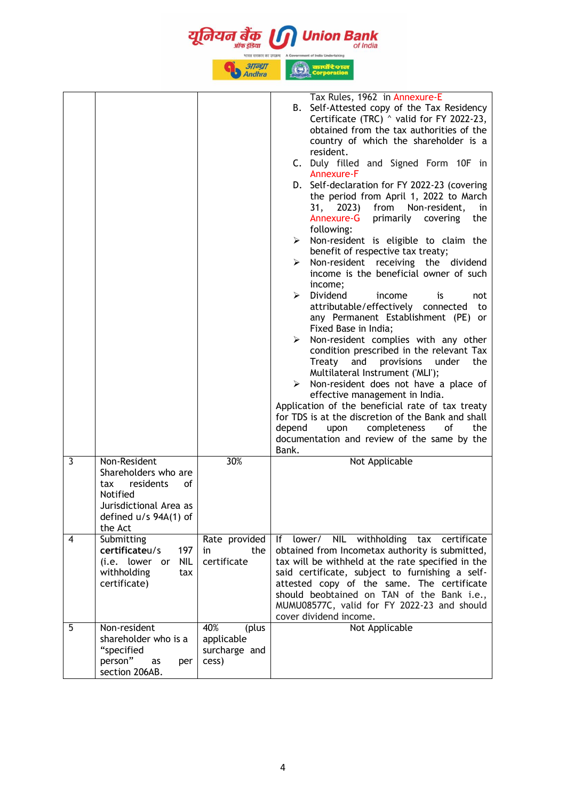यन बैक nion Bank **31TGST Andhra** Tax Rules, 1962 in Annexure-E B. Self-Attested copy of the Tax Residency Certificate (TRC) ^ valid for FY 2022-23, obtained from the tax authorities of the country of which the shareholder is a resident. C. Duly filled and Signed Form 10F in Annexure-F D. Self-declaration for FY 2022-23 (covering the period from April 1, 2022 to March 31, 2023) from Non-resident, in Annexure-G primarily covering the following:  $\triangleright$  Non-resident is eligible to claim the benefit of respective tax treaty;  $\triangleright$  Non-resident receiving the dividend income is the beneficial owner of such income; Dividend income is not attributable/effectively connected to any Permanent Establishment (PE) or Fixed Base in India;  $\triangleright$  Non-resident complies with any other condition prescribed in the relevant Tax Treaty and provisions under the Multilateral Instrument ('MLI');  $\triangleright$  Non-resident does not have a place of effective management in India. Application of the beneficial rate of tax treaty for TDS is at the discretion of the Bank and shall depend upon completeness of the documentation and review of the same by the Bank. 3 Non-Resident 30% Not Applicable Shareholders who are tax residents of Notified Jurisdictional Area as defined u/s 94A(1) of the Act 4 Submitting If lower/ NIL withholding tax certificate Rate provided **certificate**u/s 197 in the obtained from Incometax authority is submitted, (i.e. lower or NIL certificate tax will be withheld at the rate specified in the said certificate, subject to furnishing a selfwithholding tax attested copy of the same. The certificate certificate) should beobtained on TAN of the Bank i.e., MUMU08577C, valid for FY 2022-23 and should cover dividend income. 5 Non-resident 40% (plus Not Applicableshareholder who is a applicable "specified surcharge and person" as per cess) section 206AB.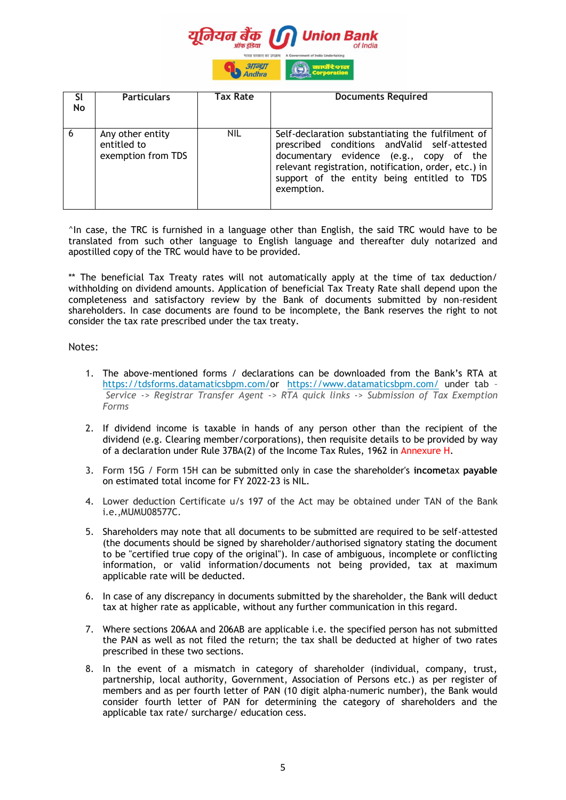

| <b>SI</b><br>No | <b>Particulars</b>                                    | <b>Tax Rate</b> | <b>Documents Required</b>                                                                                                                                                                                                                                          |
|-----------------|-------------------------------------------------------|-----------------|--------------------------------------------------------------------------------------------------------------------------------------------------------------------------------------------------------------------------------------------------------------------|
| $6^{\circ}$     | Any other entity<br>entitled to<br>exemption from TDS | <b>NIL</b>      | Self-declaration substantiating the fulfilment of<br>prescribed conditions and Valid self-attested<br>documentary evidence (e.g., copy of the<br>relevant registration, notification, order, etc.) in<br>support of the entity being entitled to TDS<br>exemption. |

^In case, the TRC is furnished in a language other than English, the said TRC would have to be translated from such other language to English language and thereafter duly notarized and apostilled copy of the TRC would have to be provided.

\*\* The beneficial Tax Treaty rates will not automatically apply at the time of tax deduction/ withholding on dividend amounts. Application of beneficial Tax Treaty Rate shall depend upon the completeness and satisfactory review by the Bank of documents submitted by non-resident shareholders. In case documents are found to be incomplete, the Bank reserves the right to not consider the tax rate prescribed under the tax treaty.

#### Notes:

- 1. The above-mentioned forms / declarations can be downloaded from the Bank"s RTA at [https://tdsforms.datamaticsbpm.com/o](https://ind01.safelinks.protection.outlook.com/?url=https%3A%2F%2Ftdsforms.datamaticsbpm.com%2F&data=05%7C01%7Craghuram.mallela%40unionbankofindia.bank%7Cdb00ce89fdc044a3f89b08da479a5da4%7C3459a843494749989c9b75ca8717f4d1%7C0%7C0%7C637901025584412969%7CUnknown%7CTWFpbGZsb3d8eyJWIjoiMC4wLjAwMDAiLCJQIjoiV2luMzIiLCJBTiI6Ik1haWwiLCJXVCI6Mn0%3D%7C3000%7C%7C%7C&sdata=2J4x5IdxWox03SHjKswC1JixtvdLXFcMfIByv2M9bR8%3D&reserved=0)r [https://www.datamaticsbpm.com/](https://ind01.safelinks.protection.outlook.com/?url=https%3A%2F%2Fwww.datamaticsbpm.com%2F&data=05%7C01%7Craghuram.mallela%40unionbankofindia.bank%7Cdb00ce89fdc044a3f89b08da479a5da4%7C3459a843494749989c9b75ca8717f4d1%7C0%7C0%7C637901025584412969%7CUnknown%7CTWFpbGZsb3d8eyJWIjoiMC4wLjAwMDAiLCJQIjoiV2luMzIiLCJBTiI6Ik1haWwiLCJXVCI6Mn0%3D%7C3000%7C%7C%7C&sdata=B%2F7HormYl4sHJjtaTd1X%2B5CS3gg46H6dTC%2F3PrvNZKk%3D&reserved=0) under tab – *Service -> Registrar Transfer Agent -> RTA quick links -> Submission of Tax Exemption Forms*
- 2. If dividend income is taxable in hands of any person other than the recipient of the dividend (e.g. Clearing member/corporations), then requisite details to be provided by way of a declaration under Rule 37BA(2) of the Income Tax Rules, 1962 in Annexure H.
- 3. Form 15G / Form 15H can be submitted only in case the shareholder's **income**tax **payable**  on estimated total income for FY 2022-23 is NIL.
- 4. Lower deduction Certificate u/s 197 of the Act may be obtained under TAN of the Bank i.e.,MUMU08577C.
- 5. Shareholders may note that all documents to be submitted are required to be self-attested (the documents should be signed by shareholder/authorised signatory stating the document to be "certified true copy of the original"). In case of ambiguous, incomplete or conflicting information, or valid information/documents not being provided, tax at maximum applicable rate will be deducted.
- 6. In case of any discrepancy in documents submitted by the shareholder, the Bank will deduct tax at higher rate as applicable, without any further communication in this regard.
- 7. Where sections 206AA and 206AB are applicable i.e. the specified person has not submitted the PAN as well as not filed the return; the tax shall be deducted at higher of two rates prescribed in these two sections.
- 8. In the event of a mismatch in category of shareholder (individual, company, trust, partnership, local authority, Government, Association of Persons etc.) as per register of members and as per fourth letter of PAN (10 digit alpha-numeric number), the Bank would consider fourth letter of PAN for determining the category of shareholders and the applicable tax rate/ surcharge/ education cess.